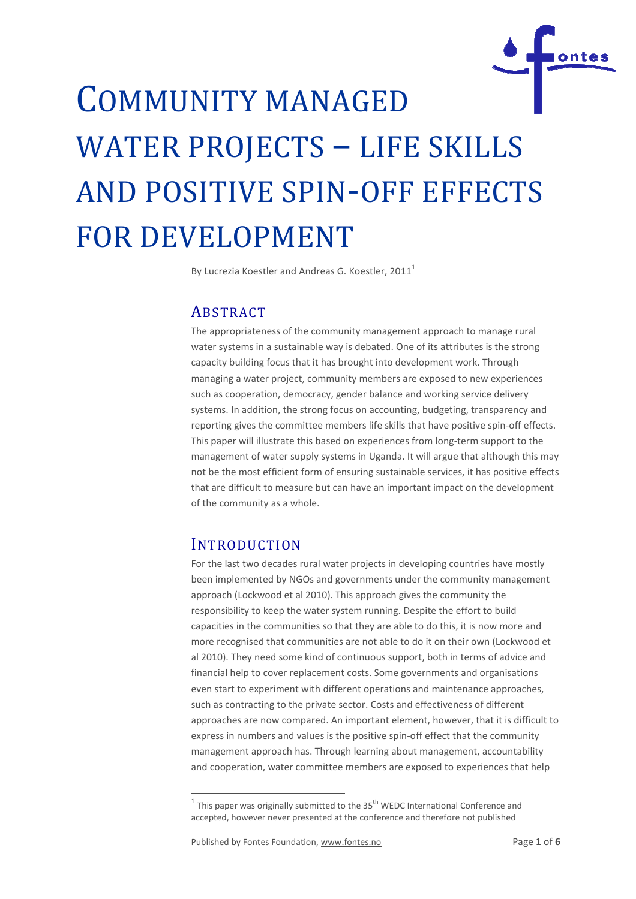

# COMMUNITY MANAGED WATER PROJECTS – LIFE SKILLS AND POSITIVE SPIN -OFF EFFECTS FOR DEVELOPMENT

By Lucrezia Koestler and Andreas G. Koestler, 2011<sup>1</sup>

# **ABSTRACT**

The appropriateness of the community management approach to manage rural water systems in a sustainable way is debated. One of its attributes is the strong capacity building focus that it has brought into development work. Through managing a water project, community members are exposed to new experiences such as cooperation, democracy, gender balance and working service delivery systems. In addition, the strong focus on accounting, budgeting, transparency and reporting gives the committee members life skills that have positive spin-off effects. This paper will illustrate this based on experiences from long-term support to the management of water supply systems in Uganda. It will argue that although this may not be the most efficient form of ensuring sustainable services, it has positive effects that are difficult to measure but can have an important impact on the development of the community as a whole.

# **INTRODUCTION**

.

For the last two decades rural water projects in developing countries have mostly been impleme implemented by NGOs and governments under the community management approach (Lockwood et al 2010). This approach gives the community the responsibility to keep the water system running. Despite the effort to build capacities in the communities so that they are able to do this, it is now more and more recognised that communities are not able to do it on their own (Lockwood et al 2010). They need some kind of continuous support, both in terms of advice and financial help to cover replacement costs. Some governments and organisations even start to experiment with different operations and maintenance approaches, such as contracting to the private sector. Costs and effectiveness of different approaches are now compared. An important element, however, that it is difficult to express in numbers and values is the positive spin-off effect that the community management approach has. Through learning about management, accountability and cooperation, water committee members are exposed to experiences that help illustrate this based on experiences from long-term support to the<br>of water supply systems in Uganda. It will argue that although this<br>st efficient form of ensuring sustainable services, it has positive eff<br>alt to measure

 $^1$  This paper was originally submitted to the 35<sup>th</sup> WEDC International Conference and accepted, however never presented at the conference and therefore not published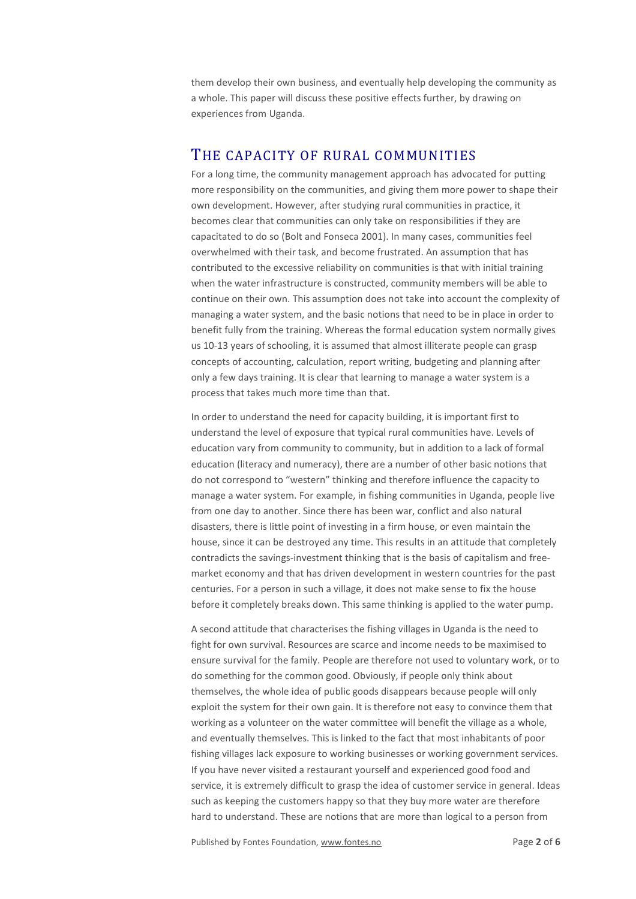them develop their own business, and eventually help developing the community as a whole. This paper will discuss these positive effects further, by drawing on experiences from Uganda.

## THE CAPACITY OF RURAL COMMUNITIES

For a long time, the community management approach has advocated for putting more responsibility on the communities, and giving them more power to shape their own development. However, after studying rural communities in practice, it becomes clear that communities can only take on responsibilities if they are capacitated to do so (Bolt and Fonseca 2001). In many cases, communities feel overwhelmed with their task, and become frustrated. An assumption that has contributed to the excessive reliability on communities is that with initial training when the water infrastructure is constructed, community members will be able to continue on their own. This assumption does not take into account the complexity of managing a water system, and the basic notions that need to be in place in order to benefit fully from the training. Whereas the formal education system normally gives us 10-13 years of schooling, it is assumed that almost illiterate people can grasp concepts of accounting, calculation, report writing, budgeting and planning after only a few days training. It is clear that learning to manage a water system is a process that takes much more time than that.

In order to understand the need for capacity building, it is important first to understand the level of exposure that typical rural communities have. Levels of education vary from community to community, but in addition to a lack of formal education (literacy and numeracy), there are a number of other basic notions that do not correspond to "western" thinking and therefore influence the capacity to manage a water system. For example, in fishing communities in Uganda, people live from one day to another. Since there has been war, conflict and also natural disasters, there is little point of investing in a firm house, or even maintain the house, since it can be destroyed any time. This results in an attitude that completely contradicts the savings-investment thinking that is the basis of capitalism and freemarket economy and that has driven development in western countries for the past centuries. For a person in such a village, it does not make sense to fix the house before it completely breaks down. This same thinking is applied to the water pump.

A second attitude that characterises the fishing villages in Uganda is the need to fight for own survival. Resources are scarce and income needs to be maximised to ensure survival for the family. People are therefore not used to voluntary work, or to do something for the common good. Obviously, if people only think about themselves, the whole idea of public goods disappears because people will only exploit the system for their own gain. It is therefore not easy to convince them that working as a volunteer on the water committee will benefit the village as a whole, and eventually themselves. This is linked to the fact that most inhabitants of poor fishing villages lack exposure to working businesses or working government services. If you have never visited a restaurant yourself and experienced good food and service, it is extremely difficult to grasp the idea of customer service in general. Ideas such as keeping the customers happy so that they buy more water are therefore hard to understand. These are notions that are more than logical to a person from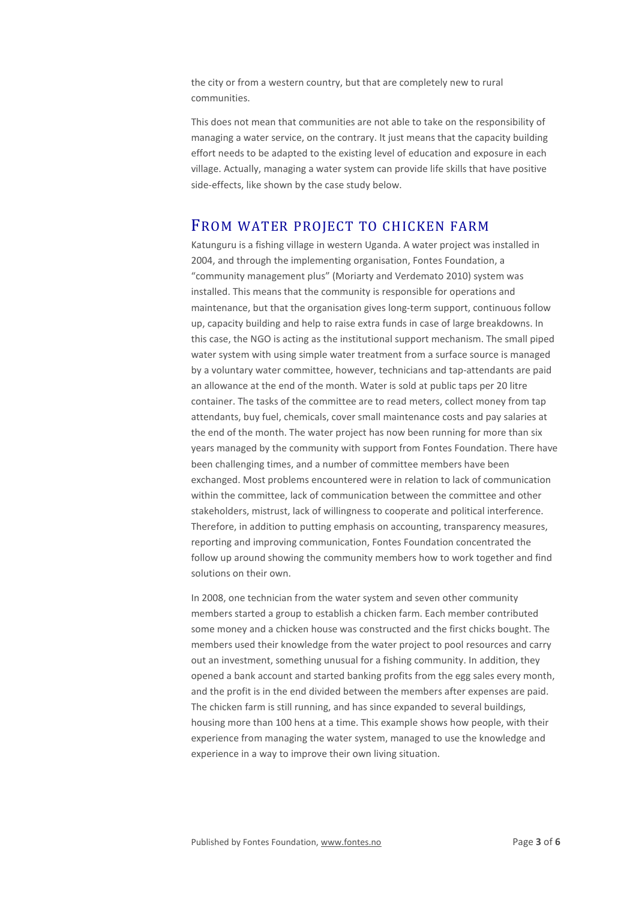the city or from a western country, but that are completely new to rural communities.

This does not mean that communities are not able to take on the responsibility of managing a water service, on the contrary. It just means that the capacity building effort needs to be adapted to the existing level of education and exposure in each village. Actually, managing a water system can provide life skills that have positive side-effects, like shown by the case study below.

### FROM WATER PROJECT TO CHICKEN FARM

Katunguru is a fishing village in western Uganda. A water project was installed in 2004, and through the implementing organisation, Fontes Foundation, a "community management plus" (Moriarty and Verdemato 2010) system was installed. This means that the community is responsible for operations and maintenance, but that the organisation gives long-term support, continuous follow up, capacity building and help to raise extra funds in case of large breakdowns. In this case, the NGO is acting as the institutional support mechanism. The small piped water system with using simple water treatment from a surface source is managed by a voluntary water committee, however, technicians and tap-attendants are paid an allowance at the end of the month. Water is sold at public taps per 20 litre container. The tasks of the committee are to read meters, collect money from tap attendants, buy fuel, chemicals, cover small maintenance costs and pay salaries at the end of the month. The water project has now been running for more than six years managed by the community with support from Fontes Foundation. There have been challenging times, and a number of committee members have been exchanged. Most problems encountered were in relation to lack of communication within the committee, lack of communication between the committee and other stakeholders, mistrust, lack of willingness to cooperate and political interference. Therefore, in addition to putting emphasis on accounting, transparency measures, reporting and improving communication, Fontes Foundation concentrated the follow up around showing the community members how to work together and find solutions on their own.

In 2008, one technician from the water system and seven other community members started a group to establish a chicken farm. Each member contributed some money and a chicken house was constructed and the first chicks bought. The members used their knowledge from the water project to pool resources and carry out an investment, something unusual for a fishing community. In addition, they opened a bank account and started banking profits from the egg sales every month, and the profit is in the end divided between the members after expenses are paid. The chicken farm is still running, and has since expanded to several buildings, housing more than 100 hens at a time. This example shows how people, with their experience from managing the water system, managed to use the knowledge and experience in a way to improve their own living situation.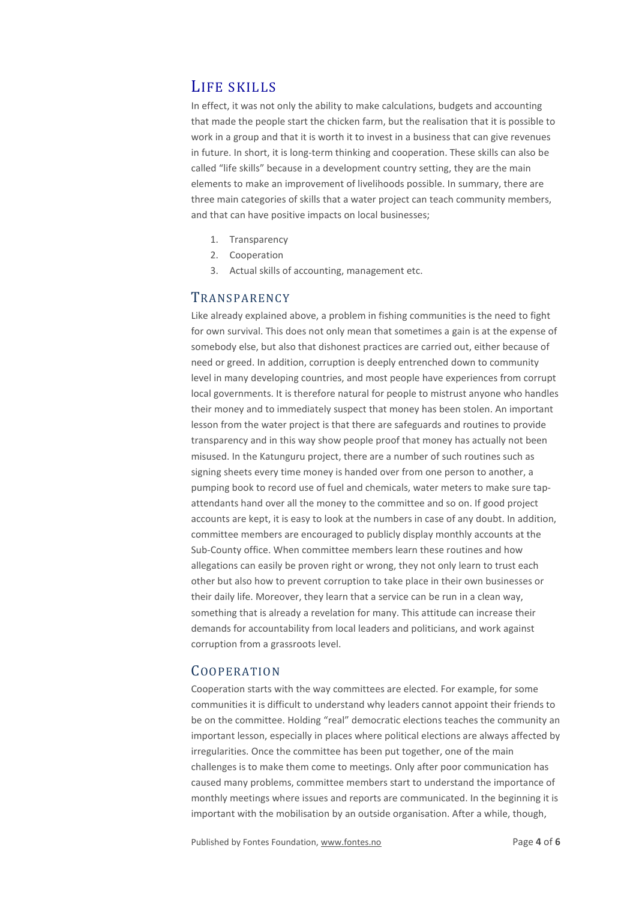## LIFE SKILLS

In effect, it was not only the ability to make calculations, budgets and accounting that made the people start the chicken farm, but the realisation that it is possible to work in a group and that it is worth it to invest in a business that can give revenues in future. In short, it is long-term thinking and cooperation. These skills can also be called "life skills" because in a development country setting, they are the main elements to make an improvement of livelihoods possible. In summary, there are three main categories of skills that a water project can teach community members, and that can have positive impacts on local businesses;

- 1. Transparency
- 2. Cooperation
- 3. Actual skills of accounting, management etc.

#### **TRANSPARENCY**

Like already explained above, a problem in fishing communities is the need to fight for own survival. This does not only mean that sometimes a gain is at the expense of somebody else, but also that dishonest practices are carried out, either because of need or greed. In addition, corruption is deeply entrenched down to community level in many developing countries, and most people have experiences from corrupt local governments. It is therefore natural for people to mistrust anyone who handles their money and to immediately suspect that money has been stolen. An important lesson from the water project is that there are safeguards and routines to provide transparency and in this way show people proof that money has actually not been misused. In the Katunguru project, there are a number of such routines such as signing sheets every time money is handed over from one person to another, a pumping book to record use of fuel and chemicals, water meters to make sure tapattendants hand over all the money to the committee and so on. If good project accounts are kept, it is easy to look at the numbers in case of any doubt. In addition, committee members are encouraged to publicly display monthly accounts at the Sub-County office. When committee members learn these routines and how allegations can easily be proven right or wrong, they not only learn to trust each other but also how to prevent corruption to take place in their own businesses or their daily life. Moreover, they learn that a service can be run in a clean way, something that is already a revelation for many. This attitude can increase their demands for accountability from local leaders and politicians, and work against corruption from a grassroots level.

#### COOPERATION

Cooperation starts with the way committees are elected. For example, for some communities it is difficult to understand why leaders cannot appoint their friends to be on the committee. Holding "real" democratic elections teaches the community an important lesson, especially in places where political elections are always affected by irregularities. Once the committee has been put together, one of the main challenges is to make them come to meetings. Only after poor communication has caused many problems, committee members start to understand the importance of monthly meetings where issues and reports are communicated. In the beginning it is important with the mobilisation by an outside organisation. After a while, though,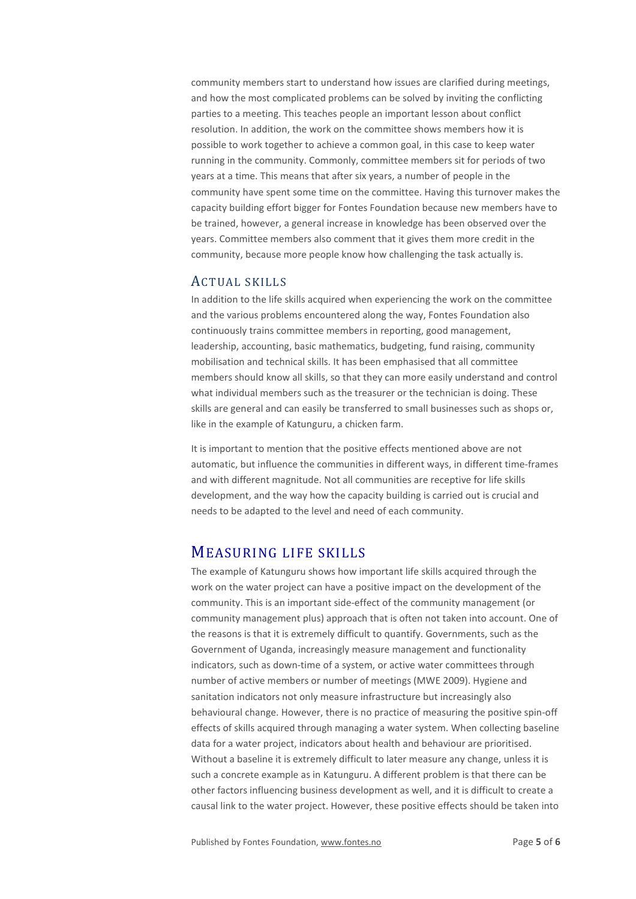community members start to understand how issues are clarified during meetings, and how the most complicated problems can be solved by inviting the conflicting parties to a meeting. This teaches people an important lesson about conflict resolution. In addition, the work on the committee shows members how it is possible to work together to achieve a common goal, in this case to keep water running in the community. Commonly, committee members sit for periods of two years at a time. This means that after six years, a number of people in the community have spent some time on the committee. Having this turnover makes the capacity building effort bigger for Fontes Foundation because new members have to be trained, however, a general increase in knowledge has been observed over the years. Committee members also comment that it gives them more credit in the community, because more people know how challenging the task actually is.

#### ACTUAL SKILLS

In addition to the life skills acquired when experiencing the work on the committee and the various problems encountered along the way, Fontes Foundation also continuously trains committee members in reporting, good management, leadership, accounting, basic mathematics, budgeting, fund raising, community mobilisation and technical skills. It has been emphasised that all committee members should know all skills, so that they can more easily understand and control what individual members such as the treasurer or the technician is doing. These skills are general and can easily be transferred to small businesses such as shops or, like in the example of Katunguru, a chicken farm.

It is important to mention that the positive effects mentioned above are not automatic, but influence the communities in different ways, in different time-frames and with different magnitude. Not all communities are receptive for life skills development, and the way how the capacity building is carried out is crucial and needs to be adapted to the level and need of each community.

### MEASURING LIFE SKILLS

The example of Katunguru shows how important life skills acquired through the work on the water project can have a positive impact on the development of the community. This is an important side-effect of the community management (or community management plus) approach that is often not taken into account. One of the reasons is that it is extremely difficult to quantify. Governments, such as the Government of Uganda, increasingly measure management and functionality indicators, such as down-time of a system, or active water committees through number of active members or number of meetings (MWE 2009). Hygiene and sanitation indicators not only measure infrastructure but increasingly also behavioural change. However, there is no practice of measuring the positive spin-off effects of skills acquired through managing a water system. When collecting baseline data for a water project, indicators about health and behaviour are prioritised. Without a baseline it is extremely difficult to later measure any change, unless it is such a concrete example as in Katunguru. A different problem is that there can be other factors influencing business development as well, and it is difficult to create a causal link to the water project. However, these positive effects should be taken into